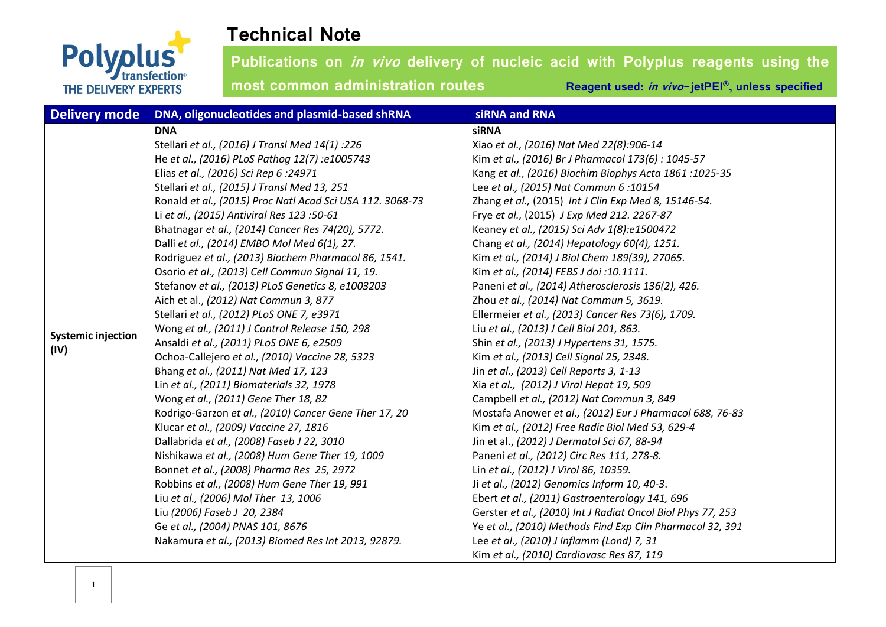

| <b>Delivery mode</b>      | DNA, oligonucleotides and plasmid-based shRNA             | siRNA and RNA                                               |
|---------------------------|-----------------------------------------------------------|-------------------------------------------------------------|
|                           | <b>DNA</b>                                                | <b>siRNA</b>                                                |
|                           | Stellari et al., (2016) J Transl Med 14(1) :226           | Xiao et al., (2016) Nat Med 22(8):906-14                    |
|                           | He et al., (2016) PLoS Pathog 12(7) :e1005743             | Kim et al., (2016) Br J Pharmacol 173(6) : 1045-57          |
|                           | Elias et al., (2016) Sci Rep 6:24971                      | Kang et al., (2016) Biochim Biophys Acta 1861 : 1025-35     |
|                           | Stellari et al., (2015) J Transl Med 13, 251              | Lee et al., (2015) Nat Commun 6:10154                       |
|                           | Ronald et al., (2015) Proc Natl Acad Sci USA 112. 3068-73 | Zhang et al., (2015) Int J Clin Exp Med 8, 15146-54.        |
|                           | Li et al., (2015) Antiviral Res 123:50-61                 | Frye et al., (2015) J Exp Med 212. 2267-87                  |
|                           | Bhatnagar et al., (2014) Cancer Res 74(20), 5772.         | Keaney et al., (2015) Sci Adv 1(8):e1500472                 |
|                           | Dalli et al., (2014) EMBO Mol Med 6(1), 27.               | Chang et al., (2014) Hepatology 60(4), 1251.                |
|                           | Rodriguez et al., (2013) Biochem Pharmacol 86, 1541.      | Kim et al., (2014) J Biol Chem 189(39), 27065.              |
|                           | Osorio et al., (2013) Cell Commun Signal 11, 19.          | Kim et al., (2014) FEBS J doi: 10.1111.                     |
|                           | Stefanov et al., (2013) PLoS Genetics 8, e1003203         | Paneni et al., (2014) Atherosclerosis 136(2), 426.          |
|                           | Aich et al., (2012) Nat Commun 3, 877                     | Zhou et al., (2014) Nat Commun 5, 3619.                     |
|                           | Stellari et al., (2012) PLoS ONE 7, e3971                 | Ellermeier et al., (2013) Cancer Res 73(6), 1709.           |
| <b>Systemic injection</b> | Wong et al., (2011) J Control Release 150, 298            | Liu et al., (2013) J Cell Biol 201, 863.                    |
| (IV)                      | Ansaldi et al., (2011) PLoS ONE 6, e2509                  | Shin et al., (2013) J Hypertens 31, 1575.                   |
|                           | Ochoa-Callejero et al., (2010) Vaccine 28, 5323           | Kim et al., (2013) Cell Signal 25, 2348.                    |
|                           | Bhang et al., (2011) Nat Med 17, 123                      | Jin et al., (2013) Cell Reports 3, 1-13                     |
|                           | Lin et al., (2011) Biomaterials 32, 1978                  | Xia et al., (2012) J Viral Hepat 19, 509                    |
|                           | Wong et al., (2011) Gene Ther 18, 82                      | Campbell et al., (2012) Nat Commun 3, 849                   |
|                           | Rodrigo-Garzon et al., (2010) Cancer Gene Ther 17, 20     | Mostafa Anower et al., (2012) Eur J Pharmacol 688, 76-83    |
|                           | Klucar et al., (2009) Vaccine 27, 1816                    | Kim et al., (2012) Free Radic Biol Med 53, 629-4            |
|                           | Dallabrida et al., (2008) Faseb J 22, 3010                | Jin et al., (2012) J Dermatol Sci 67, 88-94                 |
|                           | Nishikawa et al., (2008) Hum Gene Ther 19, 1009           | Paneni et al., (2012) Circ Res 111, 278-8.                  |
|                           | Bonnet et al., (2008) Pharma Res 25, 2972                 | Lin et al., (2012) J Virol 86, 10359.                       |
|                           | Robbins et al., (2008) Hum Gene Ther 19, 991              | Ji et al., (2012) Genomics Inform 10, 40-3.                 |
|                           | Liu et al., (2006) Mol Ther 13, 1006                      | Ebert et al., (2011) Gastroenterology 141, 696              |
|                           | Liu (2006) Faseb J 20, 2384                               | Gerster et al., (2010) Int J Radiat Oncol Biol Phys 77, 253 |
|                           | Ge et al., (2004) PNAS 101, 8676                          | Ye et al., (2010) Methods Find Exp Clin Pharmacol 32, 391   |
|                           | Nakamura et al., (2013) Biomed Res Int 2013, 92879.       | Lee et al., (2010) J Inflamm (Lond) 7, 31                   |
|                           |                                                           | Kim et al., (2010) Cardiovasc Res 87, 119                   |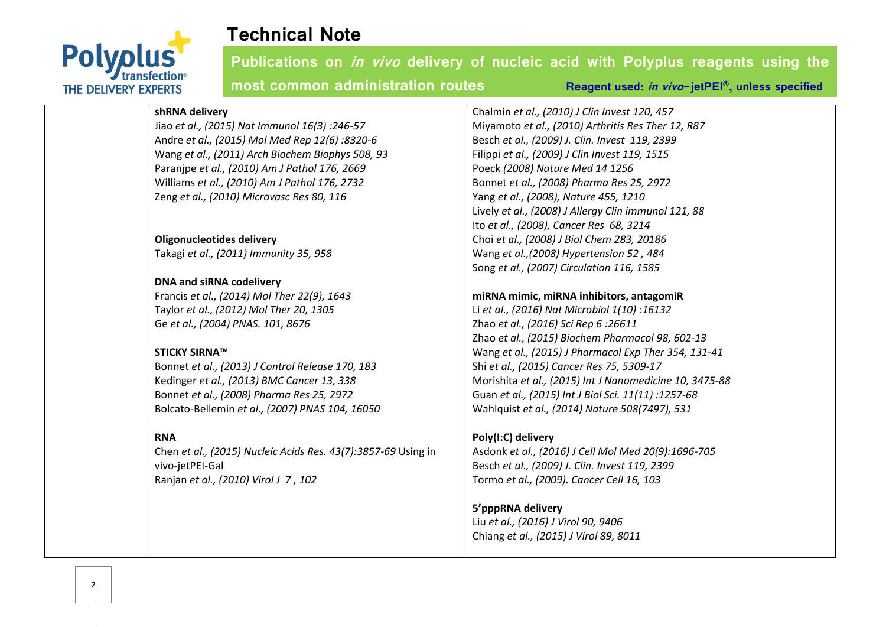

**Publications on in vivo delivery of nucleic acid with Polyplus reagents using the most common administration routes Reagent used:** *in vivo***-jetPEI<sup>®</sup>, unless specified** 

#### **shRNA delivery**

Jiao *et al., (2015) Nat Immunol 16(3) :246-57* Andre *et al., (2015) Mol Med Rep 12(6) :8320-6* Wang *et al., (2011) Arch Biochem Biophys 508, 93* Paranjpe *et al., (2010) Am J Pathol 176, 2669* Williams *et al., (2010) Am J Pathol 176, 2732* Zeng *et al., (2010) Microvasc Res 80, 116*

#### **Oligonucleotides delivery**

Takagi *et al., (2011) Immunity 35, 958*

### **DNA and siRNA codelivery**

Francis *et al., (2014) Mol Ther 22(9), 1643* Taylor *et al., (2012) Mol Ther 20, 1305* Ge *et al., (2004) PNAS. 101, 8676*

#### **STICKY SIRNA™**

Bonnet *et al., (2013) J Control Release 170, 183* Kedinger *et al., (2013) BMC Cancer 13, 338* Bonnet *et al., (2008) Pharma Res 25, 2972* Bolcato-Bellemin *et al., (2007) PNAS 104, 16050*

#### **RNA**

Chen *et al., (2015) Nucleic Acids Res. 43(7):3857-69* Using in vivo-jetPEI-Gal Ranjan *et al., (2010) Virol J 7 , 102*

Chalmin *et al., (2010) J Clin Invest 120, 457* Miyamoto *et al., (2010) Arthritis Res Ther 12, R87* Besch *et al., (2009) J. Clin. Invest 119, 2399* Filippi *et al., (2009) J Clin Invest 119, 1515* Poeck *(2008) Nature Med 14 1256* Bonnet *et al., (2008) Pharma Res 25, 2972* Yang *et al., (2008), Nature 455, 1210* Lively *et al., (2008) J Allergy Clin immunol 121, 88* Ito *et al., (2008), Cancer Res 68, 3214* Choi *et al., (2008) J Biol Chem 283, 20186* Wang *et al.,(2008) Hypertension 52 , 484* Song *et al., (2007) Circulation 116, 1585*

### **miRNA mimic, miRNA inhibitors, antagomiR**

Li *et al., (2016) Nat Microbiol 1(10) :16132* Zhao *et al., (2016) Sci Rep 6 :26611* Zhao *et al., (2015) Biochem Pharmacol 98, 602-13* Wang *et al., (2015) J Pharmacol Exp Ther 354, 131-41* Shi *et al., (2015) Cancer Res 75, 5309-17* Morishita *et al., (2015) Int J Nanomedicine 10, 3475-88* Guan *et al., (2015) Int J Biol Sci. 11(11) :1257-68* Wahlquist *et al., (2014) Nature 508(7497), 531*

#### **Poly(I:C) delivery**

Asdonk *et al., (2016) J Cell Mol Med 20(9):1696-705* Besch *et al., (2009) J. Clin. Invest 119, 2399* Tormo *et al., (2009). Cancer Cell 16, 103*

### **5'pppRNA delivery**

Liu *et al., (2016) J Virol 90, 9406* Chiang *et al., (2015) J Virol 89, 8011*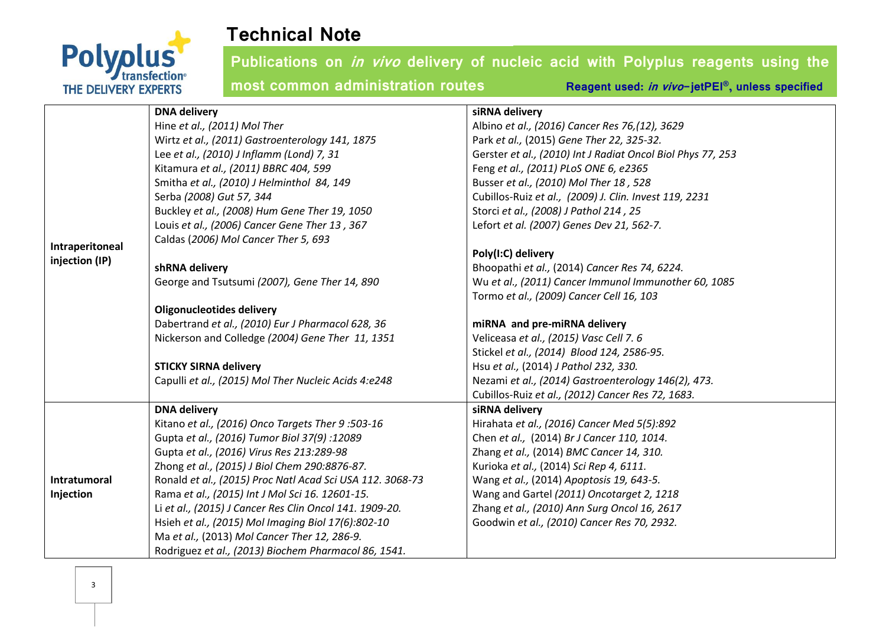

|                 | <b>DNA delivery</b>                                       | siRNA delivery                                              |
|-----------------|-----------------------------------------------------------|-------------------------------------------------------------|
|                 | Hine et al., (2011) Mol Ther                              | Albino et al., (2016) Cancer Res 76, (12), 3629             |
|                 | Wirtz et al., (2011) Gastroenterology 141, 1875           | Park et al., (2015) Gene Ther 22, 325-32.                   |
|                 | Lee et al., (2010) J Inflamm (Lond) 7, 31                 | Gerster et al., (2010) Int J Radiat Oncol Biol Phys 77, 253 |
|                 | Kitamura et al., (2011) BBRC 404, 599                     | Feng et al., (2011) PLoS ONE 6, e2365                       |
|                 | Smitha et al., (2010) J Helminthol 84, 149                | Busser et al., (2010) Mol Ther 18, 528                      |
|                 | Serba (2008) Gut 57, 344                                  | Cubillos-Ruiz et al., (2009) J. Clin. Invest 119, 2231      |
|                 | Buckley et al., (2008) Hum Gene Ther 19, 1050             | Storci et al., (2008) J Pathol 214, 25                      |
|                 | Louis et al., (2006) Cancer Gene Ther 13, 367             | Lefort et al. (2007) Genes Dev 21, 562-7.                   |
| Intraperitoneal | Caldas (2006) Mol Cancer Ther 5, 693                      |                                                             |
| injection (IP)  |                                                           | Poly(I:C) delivery                                          |
|                 | shRNA delivery                                            | Bhoopathi et al., (2014) Cancer Res 74, 6224.               |
|                 | George and Tsutsumi (2007), Gene Ther 14, 890             | Wu et al., (2011) Cancer Immunol Immunother 60, 1085        |
|                 |                                                           | Tormo et al., (2009) Cancer Cell 16, 103                    |
|                 | <b>Oligonucleotides delivery</b>                          |                                                             |
|                 | Dabertrand et al., (2010) Eur J Pharmacol 628, 36         | miRNA and pre-miRNA delivery                                |
|                 | Nickerson and Colledge (2004) Gene Ther 11, 1351          | Veliceasa et al., (2015) Vasc Cell 7.6                      |
|                 |                                                           | Stickel et al., (2014) Blood 124, 2586-95.                  |
|                 | <b>STICKY SIRNA delivery</b>                              | Hsu et al., (2014) J Pathol 232, 330.                       |
|                 | Capulli et al., (2015) Mol Ther Nucleic Acids 4:e248      | Nezami et al., (2014) Gastroenterology 146(2), 473.         |
|                 |                                                           | Cubillos-Ruiz et al., (2012) Cancer Res 72, 1683.           |
|                 | <b>DNA delivery</b>                                       | siRNA delivery                                              |
|                 | Kitano et al., (2016) Onco Targets Ther 9:503-16          | Hirahata et al., (2016) Cancer Med 5(5):892                 |
|                 | Gupta et al., (2016) Tumor Biol 37(9): 12089              | Chen et al., (2014) Br J Cancer 110, 1014.                  |
|                 | Gupta et al., (2016) Virus Res 213:289-98                 | Zhang et al., (2014) BMC Cancer 14, 310.                    |
|                 | Zhong et al., (2015) J Biol Chem 290:8876-87.             | Kurioka et al., (2014) Sci Rep 4, 6111.                     |
| Intratumoral    | Ronald et al., (2015) Proc Natl Acad Sci USA 112. 3068-73 | Wang et al., (2014) Apoptosis 19, 643-5.                    |
| Injection       | Rama et al., (2015) Int J Mol Sci 16. 12601-15.           | Wang and Gartel (2011) Oncotarget 2, 1218                   |
|                 | Li et al., (2015) J Cancer Res Clin Oncol 141. 1909-20.   | Zhang et al., (2010) Ann Surg Oncol 16, 2617                |
|                 | Hsieh et al., (2015) Mol Imaging Biol 17(6):802-10        | Goodwin et al., (2010) Cancer Res 70, 2932.                 |
|                 | Ma et al., (2013) Mol Cancer Ther 12, 286-9.              |                                                             |
|                 | Rodriguez et al., (2013) Biochem Pharmacol 86, 1541.      |                                                             |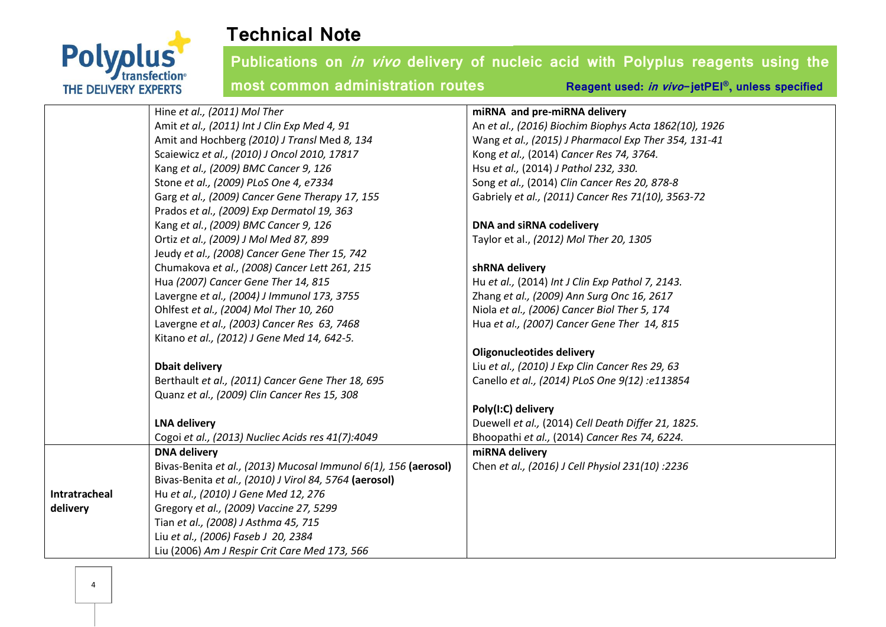

|               | Hine et al., (2011) Mol Ther                                    | miRNA and pre-miRNA delivery                          |
|---------------|-----------------------------------------------------------------|-------------------------------------------------------|
|               | Amit et al., (2011) Int J Clin Exp Med 4, 91                    | An et al., (2016) Biochim Biophys Acta 1862(10), 1926 |
|               | Amit and Hochberg (2010) J Transl Med 8, 134                    | Wang et al., (2015) J Pharmacol Exp Ther 354, 131-41  |
|               | Scaiewicz et al., (2010) J Oncol 2010, 17817                    | Kong et al., (2014) Cancer Res 74, 3764.              |
|               | Kang et al., (2009) BMC Cancer 9, 126                           | Hsu et al., (2014) J Pathol 232, 330.                 |
|               | Stone et al., (2009) PLoS One 4, e7334                          | Song et al., (2014) Clin Cancer Res 20, 878-8         |
|               | Garg et al., (2009) Cancer Gene Therapy 17, 155                 | Gabriely et al., (2011) Cancer Res 71(10), 3563-72    |
|               | Prados et al., (2009) Exp Dermatol 19, 363                      |                                                       |
|               | Kang et al., (2009) BMC Cancer 9, 126                           | DNA and siRNA codelivery                              |
|               | Ortiz et al., (2009) J Mol Med 87, 899                          | Taylor et al., (2012) Mol Ther 20, 1305               |
|               | Jeudy et al., (2008) Cancer Gene Ther 15, 742                   |                                                       |
|               | Chumakova et al., (2008) Cancer Lett 261, 215                   | shRNA delivery                                        |
|               | Hua (2007) Cancer Gene Ther 14, 815                             | Hu et al., (2014) Int J Clin Exp Pathol 7, 2143.      |
|               | Lavergne et al., (2004) J Immunol 173, 3755                     | Zhang et al., (2009) Ann Surg Onc 16, 2617            |
|               | Ohlfest et al., (2004) Mol Ther 10, 260                         | Niola et al., (2006) Cancer Biol Ther 5, 174          |
|               | Lavergne et al., (2003) Cancer Res 63, 7468                     | Hua et al., (2007) Cancer Gene Ther 14, 815           |
|               | Kitano et al., (2012) J Gene Med 14, 642-5.                     |                                                       |
|               |                                                                 | <b>Oligonucleotides delivery</b>                      |
|               | <b>Dbait delivery</b>                                           | Liu et al., (2010) J Exp Clin Cancer Res 29, 63       |
|               | Berthault et al., (2011) Cancer Gene Ther 18, 695               | Canello et al., (2014) PLoS One 9(12) :e113854        |
|               | Quanz et al., (2009) Clin Cancer Res 15, 308                    |                                                       |
|               |                                                                 | Poly(I:C) delivery                                    |
|               | <b>LNA delivery</b>                                             | Duewell et al., (2014) Cell Death Differ 21, 1825.    |
|               | Cogoi et al., (2013) Nucliec Acids res 41(7):4049               | Bhoopathi et al., (2014) Cancer Res 74, 6224.         |
|               | <b>DNA delivery</b>                                             | miRNA delivery                                        |
|               | Bivas-Benita et al., (2013) Mucosal Immunol 6(1), 156 (aerosol) | Chen et al., (2016) J Cell Physiol 231(10) :2236      |
|               | Bivas-Benita et al., (2010) J Virol 84, 5764 (aerosol)          |                                                       |
| Intratracheal | Hu et al., (2010) J Gene Med 12, 276                            |                                                       |
| delivery      | Gregory et al., (2009) Vaccine 27, 5299                         |                                                       |
|               | Tian et al., (2008) J Asthma 45, 715                            |                                                       |
|               | Liu et al., (2006) Faseb J 20, 2384                             |                                                       |
|               | Liu (2006) Am J Respir Crit Care Med 173, 566                   |                                                       |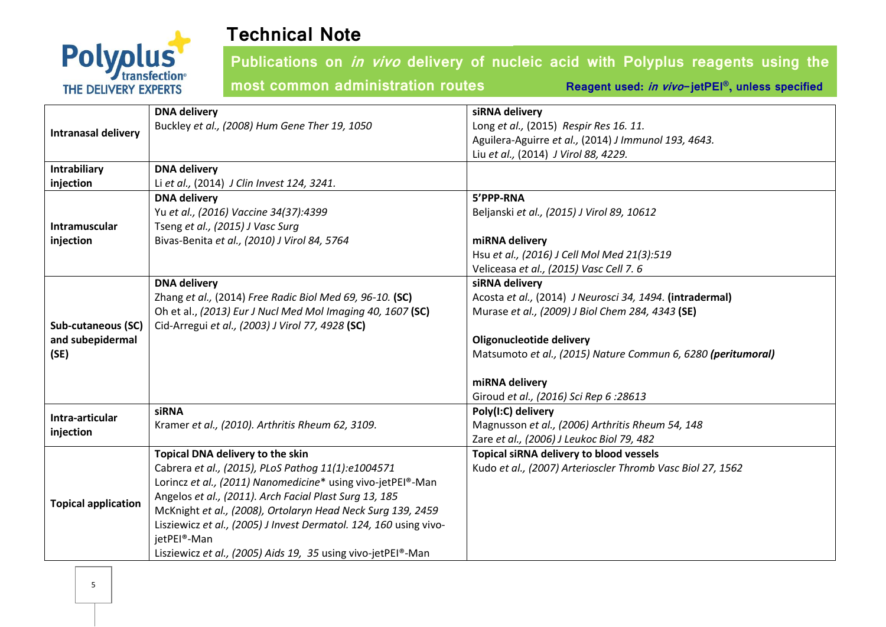

**Publications on in vivo delivery of nucleic acid with Polyplus reagents using the** 

**most common administration routes Reagent used:** *in vivo***-jetPEI<sup>®</sup>, unless specified** 

|                              | <b>DNA delivery</b>                                               | siRNA delivery                                               |
|------------------------------|-------------------------------------------------------------------|--------------------------------------------------------------|
| <b>Intranasal delivery</b>   | Buckley et al., (2008) Hum Gene Ther 19, 1050                     | Long et al., (2015) Respir Res 16. 11.                       |
|                              |                                                                   | Aguilera-Aguirre et al., (2014) J Immunol 193, 4643.         |
|                              |                                                                   | Liu et al., (2014) J Virol 88, 4229.                         |
| Intrabiliary                 | <b>DNA delivery</b>                                               |                                                              |
| injection                    | Li et al., (2014) J Clin Invest 124, 3241.                        |                                                              |
|                              | <b>DNA delivery</b>                                               | 5'PPP-RNA                                                    |
|                              | Yu et al., (2016) Vaccine 34(37):4399                             | Beljanski et al., (2015) J Virol 89, 10612                   |
| Intramuscular                | Tseng et al., (2015) J Vasc Surg                                  |                                                              |
| injection                    | Bivas-Benita et al., (2010) J Virol 84, 5764                      | miRNA delivery                                               |
|                              |                                                                   | Hsu et al., (2016) J Cell Mol Med 21(3):519                  |
|                              |                                                                   | Veliceasa et al., (2015) Vasc Cell 7. 6                      |
|                              | <b>DNA delivery</b>                                               | siRNA delivery                                               |
|                              | Zhang et al., (2014) Free Radic Biol Med 69, 96-10. (SC)          | Acosta et al., (2014) J Neurosci 34, 1494. (intradermal)     |
|                              | Oh et al., (2013) Eur J Nucl Med Mol Imaging 40, 1607 (SC)        | Murase et al., (2009) J Biol Chem 284, 4343 (SE)             |
| <b>Sub-cutaneous (SC)</b>    | Cid-Arregui et al., (2003) J Virol 77, 4928 (SC)                  |                                                              |
| and subepidermal             |                                                                   | <b>Oligonucleotide delivery</b>                              |
| (SE)                         |                                                                   | Matsumoto et al., (2015) Nature Commun 6, 6280 (peritumoral) |
|                              |                                                                   | miRNA delivery                                               |
|                              |                                                                   | Giroud et al., (2016) Sci Rep 6:28613                        |
|                              | <b>siRNA</b>                                                      | Poly(I:C) delivery                                           |
| Intra-articular<br>injection | Kramer et al., (2010). Arthritis Rheum 62, 3109.                  | Magnusson et al., (2006) Arthritis Rheum 54, 148             |
|                              |                                                                   | Zare et al., (2006) J Leukoc Biol 79, 482                    |
| <b>Topical application</b>   | Topical DNA delivery to the skin                                  | Topical siRNA delivery to blood vessels                      |
|                              | Cabrera et al., (2015), PLoS Pathog 11(1):e1004571                | Kudo et al., (2007) Arterioscler Thromb Vasc Biol 27, 1562   |
|                              | Lorincz et al., (2011) Nanomedicine* using vivo-jetPEI®-Man       |                                                              |
|                              | Angelos et al., (2011). Arch Facial Plast Surg 13, 185            |                                                              |
|                              | McKnight et al., (2008), Ortolaryn Head Neck Surg 139, 2459       |                                                              |
|                              | Lisziewicz et al., (2005) J Invest Dermatol. 124, 160 using vivo- |                                                              |
|                              | jetPEI®-Man                                                       |                                                              |
|                              | Lisziewicz et al., (2005) Aids 19, 35 using vivo-jetPEI®-Man      |                                                              |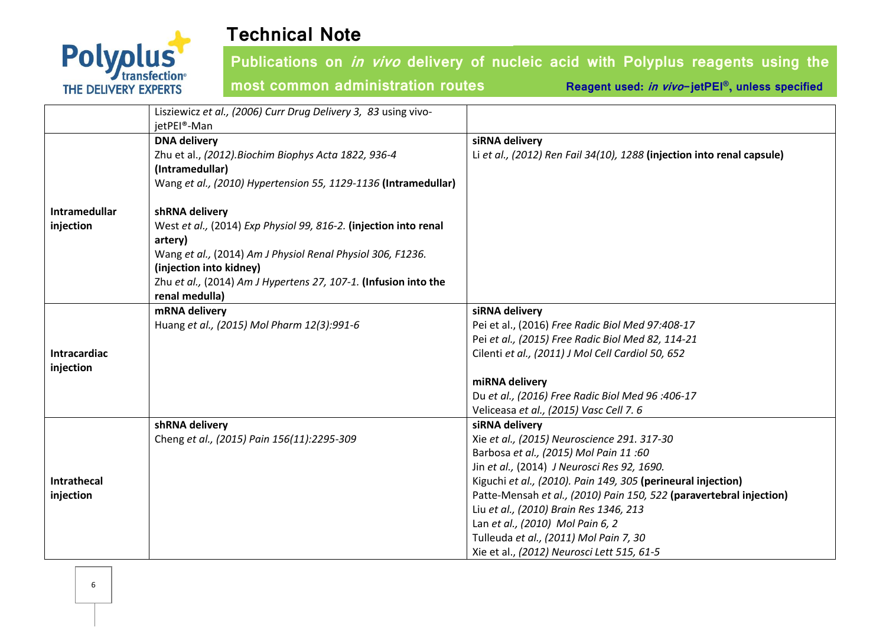

|                      | Lisziewicz et al., (2006) Curr Drug Delivery 3, 83 using vivo-<br>jetPEI®-Man |                                                                            |
|----------------------|-------------------------------------------------------------------------------|----------------------------------------------------------------------------|
|                      | <b>DNA delivery</b>                                                           | siRNA delivery                                                             |
|                      | Zhu et al., (2012). Biochim Biophys Acta 1822, 936-4                          | Li et al., (2012) Ren Fail 34(10), 1288 (injection into renal capsule)     |
|                      | (Intramedullar)                                                               |                                                                            |
|                      | Wang et al., (2010) Hypertension 55, 1129-1136 (Intramedullar)                |                                                                            |
| <b>Intramedullar</b> | shRNA delivery                                                                |                                                                            |
| injection            | West et al., (2014) Exp Physiol 99, 816-2. (injection into renal              |                                                                            |
|                      | artery)                                                                       |                                                                            |
|                      | Wang et al., (2014) Am J Physiol Renal Physiol 306, F1236.                    |                                                                            |
|                      | (injection into kidney)                                                       |                                                                            |
|                      | Zhu et al., (2014) Am J Hypertens 27, 107-1. (Infusion into the               |                                                                            |
|                      | renal medulla)                                                                |                                                                            |
|                      | mRNA delivery<br>Huang et al., (2015) Mol Pharm 12(3):991-6                   | siRNA delivery<br>Pei et al., (2016) Free Radic Biol Med 97:408-17         |
|                      |                                                                               | Pei et al., (2015) Free Radic Biol Med 82, 114-21                          |
| Intracardiac         |                                                                               | Cilenti et al., (2011) J Mol Cell Cardiol 50, 652                          |
| injection            |                                                                               |                                                                            |
|                      |                                                                               | miRNA delivery                                                             |
|                      |                                                                               | Du et al., (2016) Free Radic Biol Med 96 :406-17                           |
|                      |                                                                               | Veliceasa et al., (2015) Vasc Cell 7. 6                                    |
|                      | shRNA delivery                                                                | siRNA delivery                                                             |
|                      | Cheng et al., (2015) Pain 156(11):2295-309                                    | Xie et al., (2015) Neuroscience 291. 317-30                                |
|                      |                                                                               | Barbosa et al., (2015) Mol Pain 11:60                                      |
|                      |                                                                               | Jin et al., (2014) J Neurosci Res 92, 1690.                                |
| Intrathecal          |                                                                               | Kiguchi et al., (2010). Pain 149, 305 (perineural injection)               |
| injection            |                                                                               | Patte-Mensah et al., (2010) Pain 150, 522 (paravertebral injection)        |
|                      |                                                                               | Liu et al., (2010) Brain Res 1346, 213<br>Lan et al., (2010) Mol Pain 6, 2 |
|                      |                                                                               | Tulleuda et al., (2011) Mol Pain 7, 30                                     |
|                      |                                                                               | Xie et al., (2012) Neurosci Lett 515, 61-5                                 |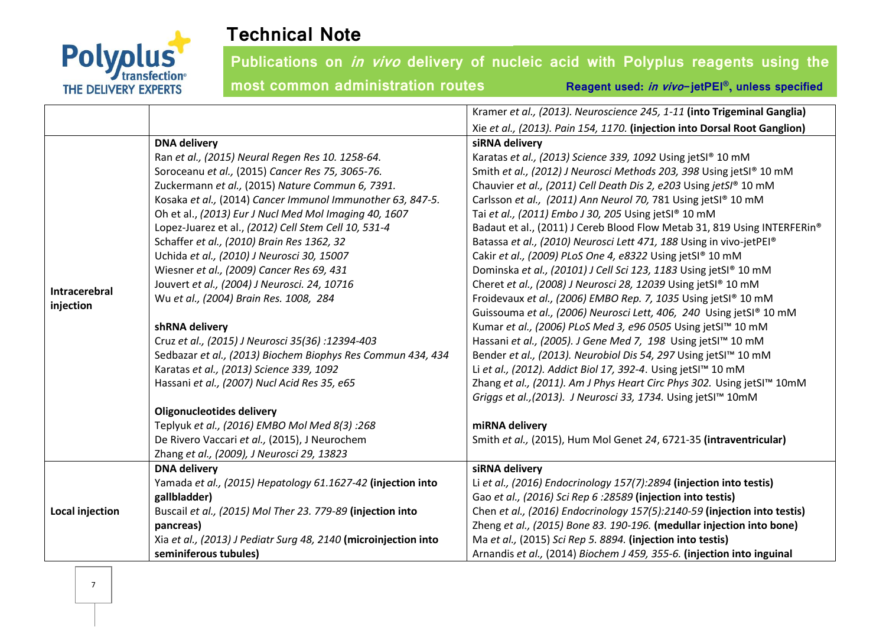

|                        |                                                                 | Kramer et al., (2013). Neuroscience 245, 1-11 (into Trigeminal Ganglia)   |
|------------------------|-----------------------------------------------------------------|---------------------------------------------------------------------------|
|                        |                                                                 | Xie et al., (2013). Pain 154, 1170. (injection into Dorsal Root Ganglion) |
|                        | <b>DNA delivery</b>                                             | siRNA delivery                                                            |
|                        | Ran et al., (2015) Neural Regen Res 10. 1258-64.                | Karatas et al., (2013) Science 339, 1092 Using jetSI® 10 mM               |
|                        | Soroceanu et al., (2015) Cancer Res 75, 3065-76.                | Smith et al., (2012) J Neurosci Methods 203, 398 Using jetSI® 10 mM       |
|                        | Zuckermann et al., (2015) Nature Commun 6, 7391.                | Chauvier et al., (2011) Cell Death Dis 2, e203 Using jetSI® 10 mM         |
|                        | Kosaka et al., (2014) Cancer Immunol Immunother 63, 847-5.      | Carlsson et al., (2011) Ann Neurol 70, 781 Using jetSI® 10 mM             |
|                        | Oh et al., (2013) Eur J Nucl Med Mol Imaging 40, 1607           | Tai et al., (2011) Embo J 30, 205 Using jetSI® 10 mM                      |
|                        | Lopez-Juarez et al., (2012) Cell Stem Cell 10, 531-4            | Badaut et al., (2011) J Cereb Blood Flow Metab 31, 819 Using INTERFERin®  |
| Intracerebral          | Schaffer et al., (2010) Brain Res 1362, 32                      | Batassa et al., (2010) Neurosci Lett 471, 188 Using in vivo-jetPEI®       |
|                        | Uchida et al., (2010) J Neurosci 30, 15007                      | Cakir et al., (2009) PLoS One 4, e8322 Using jetSI® 10 mM                 |
|                        | Wiesner et al., (2009) Cancer Res 69, 431                       | Dominska et al., (20101) J Cell Sci 123, 1183 Using jetSI® 10 mM          |
|                        | Jouvert et al., (2004) J Neurosci. 24, 10716                    | Cheret et al., (2008) J Neurosci 28, 12039 Using jetSI® 10 mM             |
| injection              | Wu et al., (2004) Brain Res. 1008, 284                          | Froidevaux et al., (2006) EMBO Rep. 7, 1035 Using jetSI® 10 mM            |
|                        |                                                                 | Guissouma et al., (2006) Neurosci Lett, 406, 240 Using jetSI® 10 mM       |
|                        | shRNA delivery                                                  | Kumar et al., (2006) PLoS Med 3, e96 0505 Using jetSI™ 10 mM              |
|                        | Cruz et al., (2015) J Neurosci 35(36): 12394-403                | Hassani et al., (2005). J Gene Med 7, 198 Using jetSI™ 10 mM              |
|                        | Sedbazar et al., (2013) Biochem Biophys Res Commun 434, 434     | Bender et al., (2013). Neurobiol Dis 54, 297 Using jetSI™ 10 mM           |
|                        | Karatas et al., (2013) Science 339, 1092                        | Li et al., (2012). Addict Biol 17, 392-4. Using jetSI <sup>™</sup> 10 mM  |
|                        | Hassani et al., (2007) Nucl Acid Res 35, e65                    | Zhang et al., (2011). Am J Phys Heart Circ Phys 302. Using jetSI™ 10mM    |
|                        |                                                                 | Griggs et al., (2013). J Neurosci 33, 1734. Using jetSI™ 10mM             |
|                        | <b>Oligonucleotides delivery</b>                                |                                                                           |
|                        | Teplyuk et al., (2016) EMBO Mol Med 8(3) :268                   | miRNA delivery                                                            |
|                        | De Rivero Vaccari et al., (2015), J Neurochem                   | Smith et al., (2015), Hum Mol Genet 24, 6721-35 (intraventricular)        |
|                        | Zhang et al., (2009), J Neurosci 29, 13823                      |                                                                           |
| <b>Local injection</b> | <b>DNA delivery</b>                                             | siRNA delivery                                                            |
|                        | Yamada et al., (2015) Hepatology 61.1627-42 (injection into     | Li et al., (2016) Endocrinology 157(7):2894 (injection into testis)       |
|                        | gallbladder)                                                    | Gao et al., (2016) Sci Rep 6 :28589 (injection into testis)               |
|                        | Buscail et al., (2015) Mol Ther 23. 779-89 (injection into      | Chen et al., (2016) Endocrinology 157(5):2140-59 (injection into testis)  |
|                        | pancreas)                                                       | Zheng et al., (2015) Bone 83. 190-196. (medullar injection into bone)     |
|                        | Xia et al., (2013) J Pediatr Surg 48, 2140 (microinjection into | Ma et al., (2015) Sci Rep 5. 8894. (injection into testis)                |
|                        | seminiferous tubules)                                           | Arnandis et al., (2014) Biochem J 459, 355-6. (injection into inguinal    |